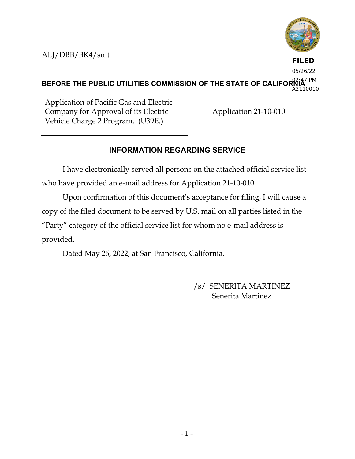

**FILED** 05/26/22

BEFORE THE PUBLIC UTILITIES COMMISSION OF THE STATE OF CALIFORNIA<sup>7 PM</sup> A2110010

Application of Pacific Gas and Electric Company for Approval of its Electric Vehicle Charge 2 Program. (U39E.)

Application 21-10-010

# **INFORMATION REGARDING SERVICE**

I have electronically served all persons on the attached official service list who have provided an e-mail address for Application 21-10-010.

Upon confirmation of this document's acceptance for filing, I will cause a copy of the filed document to be served by U.S. mail on all parties listed in the "Party" category of the official service list for whom no e-mail address is provided.

Dated May 26, 2022, at San Francisco, California.

/s/ SENERITA MARTINEZ Senerita Martinez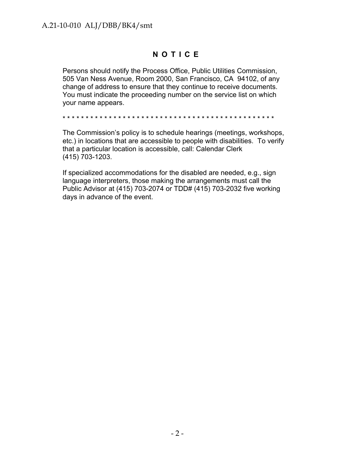# **NOTICE**

Persons should notify the Process Office, Public Utilities Commission, 505 Van Ness Avenue, Room 2000, San Francisco, CA 94102, of any change of address to ensure that they continue to receive documents. You must indicate the proceeding number on the service list on which your name appears.

\* \* \* \* \* \* \* \* \* \* \* \* \* \* \* \* \* \* \* \* \* \* \* \* \* \* \* \* \* \* \* \* \* \* \* \* \* \* \* \* \* \* \* \* \* \*

The Commission's policy is to schedule hearings (meetings, workshops, etc.) in locations that are accessible to people with disabilities. To verify that a particular location is accessible, call: Calendar Clerk (415) 703-1203.

If specialized accommodations for the disabled are needed, e.g., sign language interpreters, those making the arrangements must call the Public Advisor at (415) 703-2074 or TDD# (415) 703-2032 five working days in advance of the event.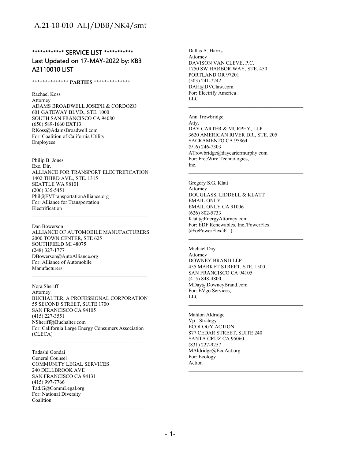### \*\*\*\*\*\*\*\*\*\*\*\* SERVICE LIST \*\*\*\*\*\*\*\*\*\*\*\* Last Updated on 17-MAY-2022 by: KB3 A2110010 LIST

#### **\*\*\*\*\*\*\*\*\*\*\*\*\*\* PARTIES \*\*\*\*\*\*\*\*\*\*\*\*\*\***

Rachael Koss Attorney ADAMS BROADWELL JOSEPH & CORDOZO 601 GATEWAY BLVD., STE. 1000 SOUTH SAN FRANCISCO CA 94080 (650) 589-1660 EXT13 RKoss@AdamsBroadwell.com For: Coalition of California Utility Employees

Philip B. Jones Exe. Dir. ALLIANCE FOR TRANSPORT ELECTRIFICATION 1402 THIRD AVE., STE. 1315 SEATTLE WA 98101 (206) 335-5451 Phil@EVTransportationAlliance.org For: Alliance for Transportation Electrification

Dan Bowerson ALLIANCE OF AUTOMOBILE MANUFACTURERS 2000 TOWN CENTER, STE 625 SOUTHFIELD MI 48075 (248) 327-1777 DBowerson@AutoAlliance.org For: Alliance of Automobile Manufacturers

Nora Sheriff Attorney BUCHALTER, A PROFESSIONAL CORPORATION 55 SECOND STREET, SUITE 1700 SAN FRANCISCO CA 94105 (415) 227-3551 NSheriff@Buchalter.com For: California Large Energy Consumers Association (CLECA)

 $\mathcal{L}_\text{max}$  and the contract of the contract of the contract of the contract of the contract of the contract of the contract of the contract of the contract of the contract of the contract of the contract of the contrac

Tadashi Gondai General Counsel COMMUNITY LEGAL SERVICES 240 DELLBROOK AVE SAN FRANCISCO CA 94131 (415) 997-7766 Tad.G@CommLegal.org For: National Diversity Coalition

Dallas A. Harris Attorney DAVISON VAN CLEVE, P.C. 1750 SW HARBOR WAY, STE. 450 PORTLAND OR 97201 (503) 241-7242 DAH@DVClaw.com For: Electrify America LLC

Ann Trowbridge Atty. DAY CARTER & MURPHY, LLP 3620 AMERICAN RIVER DR., STE. 205 SACRAMENTO CA 95864 (916) 246-7303 ATrowbridge@daycartermurphy.com For: FreeWire Technologies, Inc.

\_\_\_\_\_\_\_\_\_\_\_\_\_\_\_\_\_\_\_\_\_\_\_\_\_\_\_\_\_\_\_\_\_\_\_\_\_\_\_\_\_\_\_\_

Gregory S.G. Klatt Attorney DOUGLASS, LIDDELL & KLATT EMAIL ONLY EMAIL ONLY CA 91006 (626) 802-5733 Klatt@EnergyAttorney.com For: EDF Renewables, Inc./PowerFlex  $(\hat{a}\in\mathbb{C}P$ owerFlex $\hat{a}\in$ )

Michael Day Attorney DOWNEY BRAND LLP 455 MARKET STREET, STE. 1500 SAN FRANCISCO CA 94105 (415) 848-4800 MDay@DowneyBrand.com For: EVgo Services, LLC

Mahlon Aldridge Vp - Strategy ECOLOGY ACTION 877 CEDAR STREET, SUITE 240 SANTA CRUZ CA 95060 (831) 227-9257 MAldridge@EcoAct.org For: Ecology Action  $\mathcal{L}_\text{max}$  and the contract of the contract of the contract of the contract of the contract of the contract of the contract of the contract of the contract of the contract of the contract of the contract of the contrac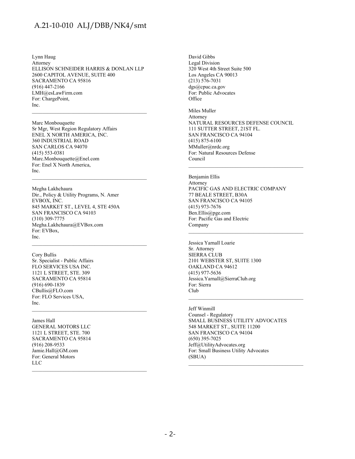Lynn Haug Attorney ELLISON SCHNEIDER HARRIS & DONLAN LLP 2600 CAPITOL AVENUE, SUITE 400 SACRAMENTO CA 95816 (916) 447-2166 LMH@esLawFirm.com For: ChargePoint, Inc.

Marc Monbouquette Sr Mgr, West Region Regulatory Affairs ENEL X NORTH AMERICA, INC. 360 INDUSTRIAL ROAD SAN CARLOS CA 94070 (415) 553-0381 Marc.Monbouquette@Enel.com For: Enel X North America, Inc.

Megha Lakhchaura Dir., Policy & Utility Programs, N. Amer EVBOX, INC. 845 MARKET ST., LEVEL 4, STE 450A SAN FRANCISCO CA 94103 (310) 309-7775 Megha.Lakhchaura@EVBox.com For: EVBox, Inc.

 $\mathcal{L}_\text{max}$  and the contract of the contract of the contract of the contract of the contract of the contract of the contract of the contract of the contract of the contract of the contract of the contract of the contrac

Cory Bullis Sr. Specialist - Public Affairs FLO SERVICES USA INC. 1121 L STREET, STE. 309 SACRAMENTO CA 95814 (916) 690-1839 CBullis@FLO.com For: FLO Services USA, Inc.

James Hall GENERAL MOTORS LLC 1121 L STREET, STE. 700 SACRAMENTO CA 95814 (916) 208-9533 Jamie.Hall@GM.com For: General Motors LLC  $\mathcal{L}_\text{max}$  and the contract of the contract of the contract of the contract of the contract of the contract of the contract of the contract of the contract of the contract of the contract of the contract of the contrac David Gibbs Legal Division 320 West 4th Street Suite 500 Los Angeles CA 90013 (213) 576-7031 dgs@cpuc.ca.gov For: Public Advocates **Office** Miles Muller

Attorney NATURAL RESOURCES DEFENSE COUNCIL 111 SUTTER STREET, 21ST FL. SAN FRANCISCO CA 94104 (415) 875-6100 MMuller@nrdc.org For: Natural Resources Defense Council \_\_\_\_\_\_\_\_\_\_\_\_\_\_\_\_\_\_\_\_\_\_\_\_\_\_\_\_\_\_\_\_\_\_\_\_\_\_\_\_\_\_\_\_

Benjamin Ellis Attorney PACIFIC GAS AND ELECTRIC COMPANY 77 BEALE STREET, B30A SAN FRANCISCO CA 94105 (415) 973-7676 Ben.Ellis@pge.com For: Pacific Gas and Electric Company

Jessica Yarnall Loarie Sr. Attorney SIERRA CLUB 2101 WEBSTER ST, SUITE 1300 OAKLAND CA 94612 (415) 977-5636 Jessica.Yarnall@SierraClub.org For: Sierra Club

Jeff Winmill Counsel - Regulatory SMALL BUSINESS UTILITY ADVOCATES 548 MARKET ST., SUITE 11200 SAN FRANCISCO CA 94104 (650) 395-7025 Jeff@UtilityAdvocates.org For: Small Business Utility Advocates (SBUA)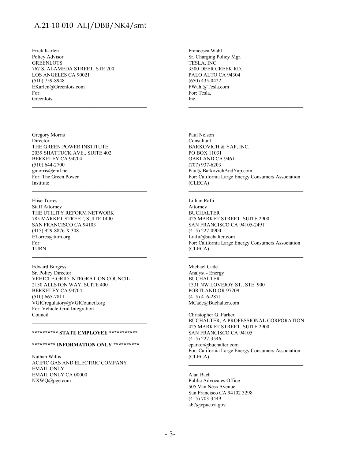\_\_\_\_\_\_\_\_\_\_\_\_\_\_\_\_\_\_\_\_\_\_\_\_\_\_\_\_\_\_\_\_\_\_\_\_\_\_\_\_\_\_\_\_

 $\mathcal{L}_\text{max}$  and the contract of the contract of the contract of the contract of the contract of the contract of the contract of the contract of the contract of the contract of the contract of the contract of the contrac

\_\_\_\_\_\_\_\_\_\_\_\_\_\_\_\_\_\_\_\_\_\_\_\_\_\_\_\_\_\_\_\_\_\_\_\_\_\_\_\_\_\_\_\_

Erick Karlen Policy Advisor **GREENLOTS** 767 S. ALAMEDA STREET, STE 200 LOS ANGELES CA 90021 (510) 759-8948 EKarlen@Greenlots.com For: Greenlots

Gregory Morris Director THE GREEN POWER INSTITUTE 2039 SHATTUCK AVE., SUITE 402 BERKELEY CA 94704 (510) 644-2700 gmorris@emf.net For: The Green Power Institute

Elise Torres Staff Attorney THE UTILITY REFORM NETWORK 785 MARKET STREET, SUITE 1400 SAN FRANCISCO CA 94103 (415) 929-8876 X 308 ETorres@turn.org For: TURN

Edward Burgess Sr. Policy Director VEHICLE-GRID INTEGRATION COUNCIL 2150 ALLSTON WAY, SUITE 400 BERKELEY CA 94704 (510) 665-7811 VGICregulatory@VGICouncil.org For: Vehicle-Grid Integration Council

### **\*\*\*\*\*\*\*\*\*\* STATE EMPLOYEE \*\*\*\*\*\*\*\*\*\*\***

### **\*\*\*\*\*\*\*\*\* INFORMATION ONLY \*\*\*\*\*\*\*\*\*\***

Nathan Willis ACIFIC GAS AND ELECTRIC COMPANY EMAIL ONLY EMAIL ONLY CA 00000 NXWQ@pge.com

Francesca Wahl Sr. Charging Policy Mgr. TESLA, INC. 3500 DEER CREEK RD. PALO ALTO CA 94304 (650) 435-0422 FWahl@Tesla.com For: Tesla, Inc.

Paul Nelson Consultant BARKOVICH & YAP, INC. PO BOX 11031 OAKLAND CA 94611 (707) 937-6203 Paul@BarkovichAndYap.com For: California Large Energy Consumers Association (CLECA)  $\mathcal{L}_\text{max}$  and the contract of the contract of the contract of the contract of the contract of the contract of the contract of the contract of the contract of the contract of the contract of the contract of the contrac

\_\_\_\_\_\_\_\_\_\_\_\_\_\_\_\_\_\_\_\_\_\_\_\_\_\_\_\_\_\_\_\_\_\_\_\_\_\_\_\_\_\_\_\_

Lillian Rafii Attorney BUCHALTER 425 MARKET STREET, SUITE 2900 SAN FRANCISCO CA 94105-2491 (415) 227-0900 Lrafii@buchalter.com For: California Large Energy Consumers Association (CLECA)

\_\_\_\_\_\_\_\_\_\_\_\_\_\_\_\_\_\_\_\_\_\_\_\_\_\_\_\_\_\_\_\_\_\_\_\_\_\_\_\_\_\_\_\_

Michael Cade Analyst - Energy **BUCHALTER** 1331 NW LOVEJOY ST., STE. 900 PORTLAND OR 97209 (415) 416-2871 MCade@Buchalter.com

Christopher G. Parker BUCHALTER, A PROFESSIONAL CORPORATION 425 MARKET STREET, SUITE 2900 SAN FRANCISCO CA 94105 (415) 227-3546 cparker@buchalter.com For: California Large Energy Consumers Association (CLECA)

Alan Bach Public Advocates Office 505 Van Ness Avenue San Francisco CA 94102 3298 (415) 703-3449 ab7@cpuc.ca.gov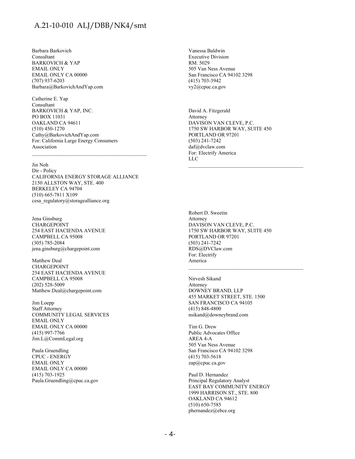Barbara Barkovich Consultant BARKOVICH & YAP EMAIL ONLY EMAIL ONLY CA 00000 (707) 937-6203 Barbara@BarkovichAndYap.com

Catherine E. Yap Consultant BARKOVICH & YAP, INC. PO BOX 11031 OAKLAND CA 94611 (510) 450-1270 Cathy@BarkovichAndYap.com For: California Large Energy Consumers Association

Jin Noh

Dir - Policy CALIFORNIA ENERGY STORAGE ALLIANCE 2150 ALLSTON WAY, STE. 400 BERKELEY CA 94704 (510) 665-7811 X109 cesa\_regulatory@storagealliance.org

Jena Ginsburg CHARGEPOINT 254 EAST HACIENDA AVENUE CAMPBELL CA 95008 (305) 785-2084 jena.ginsburg@chargepoint.com

Matthew Deal CHARGEPOINT 254 EAST HACIENDA AVENUE CAMPBELL CA 95008 (202) 528-5009 Matthew.Deal@chargepoint.com

Jim Loepp Staff Attorney COMMUNITY LEGAL SERVICES EMAIL ONLY EMAIL ONLY CA 00000 (415) 997-7766 Jim.L@CommLegal.org

Paula Gruendling CPUC - ENERGY EMAIL ONLY EMAIL ONLY CA 00000 (415) 703-1925 Paula.Gruendling@cpuc.ca.gov Vanessa Baldwin Executive Division RM. 5029 505 Van Ness Avenue San Francisco CA 94102 3298 (415) 703-3942 vy2@cpuc.ca.gov

David A. Fitzgerald Attorney DAVISON VAN CLEVE, P.C. 1750 SW HARBOR WAY, SUITE 450 PORTLAND OR 97201 (503) 241-7242 daf@dvclaw.com For: Electrify America LLC

\_\_\_\_\_\_\_\_\_\_\_\_\_\_\_\_\_\_\_\_\_\_\_\_\_\_\_\_\_\_\_\_\_\_\_\_\_\_\_\_\_\_\_\_

Robert D. Sweetin Attorney DAVISON VAN CLEVE, P.C. 1750 SW HARBOR WAY, SUITE 450 PORTLAND OR 97201 (503) 241-7242 RDS@DVClaw.com For: Electrify America

Nirvesh Sikand Attorney DOWNEY BRAND, LLP 455 MARKET STREET, STE. 1500 SAN FRANCISCO CA 94105 (415) 848-4800 nsikand@downeybrand.com

Tim G. Drew Public Advocates Office AREA 4-A 505 Van Ness Avenue San Francisco CA 94102 3298 (415) 703-5618 zap@cpuc.ca.gov

Paul D. Hernandez Principal Regulatory Analyst EAST BAY COMMUNITY ENERGY 1999 HARRISON ST., STE. 800 OAKLAND CA 94612 (510) 650-7585 phernandez@ebce.org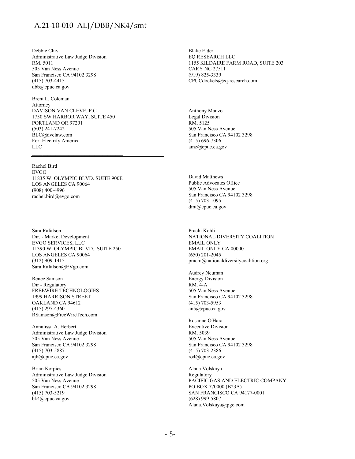Debbie Chiv Administrative Law Judge Division RM. 5011 505 Van Ness Avenue San Francisco CA 94102 3298 (415) 703-4415 dbb@cpuc.ca.gov

Brent L. Coleman Attorney DAVISON VAN CLEVE, P.C. 1750 SW HARBOR WAY, SUITE 450 PORTLAND OR 97201 (503) 241-7242 BLC@dvclaw.com For: Electrify America LLC

Rachel Bird EVGO 11835 W. OLYMPIC BLVD. SUITE 900E LOS ANGELES CA 90064 (908) 400-4996 rachel.bird@evgo.com

Sara Rafalson Dir. - Market Development EVGO SERVICES, LLC 11390 W. OLYMPIC BLVD., SUITE 250 LOS ANGELES CA 90064 (312) 909-1415 Sara.Rafalson@EVgo.com

Renee Samson Dir - Regulatory FREEWIRE TECHNOLOGIES 1999 HARRISON STREET OAKLAND CA 94612 (415) 297-4360 RSamson@FreeWireTech.com

Annalissa A. Herbert Administrative Law Judge Division 505 Van Ness Avenue San Francisco CA 94102 3298 (415) 703-5887 ajh@cpuc.ca.gov

Brian Korpics Administrative Law Judge Division 505 Van Ness Avenue San Francisco CA 94102 3298 (415) 703-5219 bk4@cpuc.ca.gov

Blake Elder EQ RESEARCH LLC 1155 KILDAIRE FARM ROAD, SUITE 203 CARY NC 27511 (919) 825-3339 CPUCdockets@eq-research.com

Anthony Manzo Legal Division RM. 5125 505 Van Ness Avenue San Francisco CA 94102 3298 (415) 696-7306 amz@cpuc.ca.gov

David Matthews Public Advocates Office 505 Van Ness Avenue San Francisco CA 94102 3298 (415) 703-1095 dmt@cpuc.ca.gov

Prachi Kohli NATIONAL DIVERSITY COALITION EMAIL ONLY EMAIL ONLY CA 00000 (650) 201-2045 prachi@nationaldiversitycoalition.org

Audrey Neuman Energy Division RM. 4-A 505 Van Ness Avenue San Francisco CA 94102 3298 (415) 703-5953 an5@cpuc.ca.gov

Rosanne O'Hara Executive Division RM. 5039 505 Van Ness Avenue San Francisco CA 94102 3298 (415) 703-2386 ro4@cpuc.ca.gov

Alana Volskaya Regulatory PACIFIC GAS AND ELECTRIC COMPANY PO BOX 770000 (B23A) SAN FRANCISCO CA 94177-0001 (628) 999-5807 Alana.Volskaya@pge.com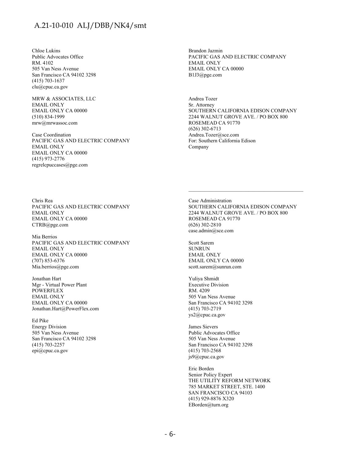Chloe Lukins Public Advocates Office RM. 4102 505 Van Ness Avenue San Francisco CA 94102 3298 (415) 703-1637 clu@cpuc.ca.gov

MRW & ASSOCIATES, LLC EMAIL ONLY EMAIL ONLY CA 00000 (510) 834-1999 mrw@mrwassoc.com

Case Coordination PACIFIC GAS AND ELECTRIC COMPANY EMAIL ONLY EMAIL ONLY CA 00000 (415) 973-2776 regrelcpuccases@pge.com

Brandon Jazmin PACIFIC GAS AND ELECTRIC COMPANY EMAIL ONLY EMAIL ONLY CA 00000 B1J3@pge.com

Andrea Tozer Sr. Attorney SOUTHERN CALIFORNIA EDISON COMPANY 2244 WALNUT GROVE AVE. / PO BOX 800 ROSEMEAD CA 91770 (626) 302-6713 Andrea.Tozer@sce.com For: Southern California Edison Company

Chris Rea PACIFIC GAS AND ELECTRIC COMPANY EMAIL ONLY EMAIL ONLY CA 00000 CTRB@pge.com

Mia Berrios PACIFIC GAS AND ELECTRIC COMPANY EMAIL ONLY EMAIL ONLY CA 00000 (707) 853-6376 Mia.berrios@pge.com

Jonathan Hart Mgr - Virtual Power Plant POWERFLEX EMAIL ONLY EMAIL ONLY CA 00000 Jonathan.Hart@PowerFlex.com

Ed Pike Energy Division 505 Van Ness Avenue San Francisco CA 94102 3298 (415) 703-2257 epi@cpuc.ca.gov

Case Administration SOUTHERN CALIFORNIA EDISON COMPANY 2244 WALNUT GROVE AVE. / PO BOX 800 ROSEMEAD CA 91770 (626) 302-2810 case.admin@sce.com

 $\mathcal{L}_\text{max}$  and the contract of the contract of the contract of the contract of the contract of the contract of the contract of the contract of the contract of the contract of the contract of the contract of the contrac

Scott Sarem SUNRUN EMAIL ONLY EMAIL ONLY CA 00000 scott.sarem@sunrun.com

Yuliya Shmidt Executive Division RM. 4209 505 Van Ness Avenue San Francisco CA 94102 3298 (415) 703-2719 ys2@cpuc.ca.gov

James Sievers Public Advocates Office 505 Van Ness Avenue San Francisco CA 94102 3298 (415) 703-2568 js9@cpuc.ca.gov

Eric Borden Senior Policy Expert THE UTILITY REFORM NETWORK 785 MARKET STREET, STE. 1400 SAN FRANCISCO CA 94103 (415) 929-8876 X320 EBorden@turn.org